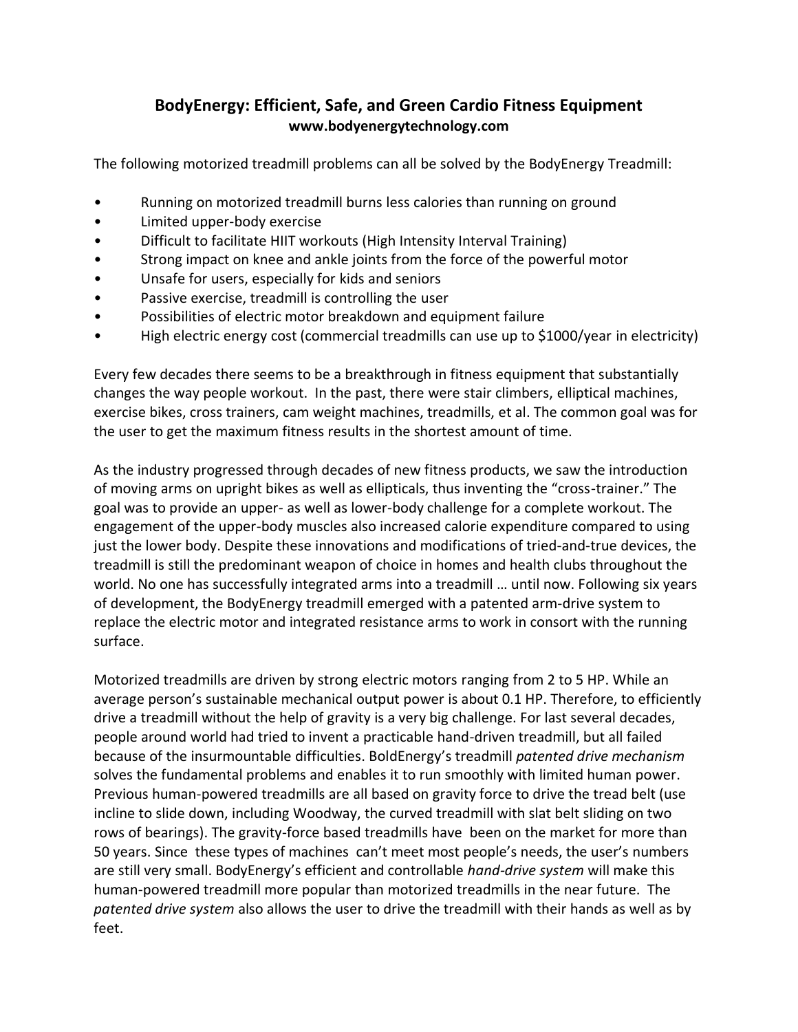## **BodyEnergy: Efficient, Safe, and Green Cardio Fitness Equipment www.bodyenergytechnology.com**

The following motorized treadmill problems can all be solved by the BodyEnergy Treadmill:

- Running on motorized treadmill burns less calories than running on ground
- Limited upper-body exercise
- Difficult to facilitate HIIT workouts (High Intensity Interval Training)
- Strong impact on knee and ankle joints from the force of the powerful motor
- Unsafe for users, especially for kids and seniors
- Passive exercise, treadmill is controlling the user
- Possibilities of electric motor breakdown and equipment failure
- High electric energy cost (commercial treadmills can use up to \$1000/year in electricity)

Every few decades there seems to be a breakthrough in fitness equipment that substantially changes the way people workout. In the past, there were stair climbers, elliptical machines, exercise bikes, cross trainers, cam weight machines, treadmills, et al. The common goal was for the user to get the maximum fitness results in the shortest amount of time.

As the industry progressed through decades of new fitness products, we saw the introduction of moving arms on upright bikes as well as ellipticals, thus inventing the "cross-trainer." The goal was to provide an upper- as well as lower-body challenge for a complete workout. The engagement of the upper-body muscles also increased calorie expenditure compared to using just the lower body. Despite these innovations and modifications of tried-and-true devices, the treadmill is still the predominant weapon of choice in homes and health clubs throughout the world. No one has successfully integrated arms into a treadmill … until now. Following six years of development, the BodyEnergy treadmill emerged with a patented arm-drive system to replace the electric motor and integrated resistance arms to work in consort with the running surface.

Motorized treadmills are driven by strong electric motors ranging from 2 to 5 HP. While an average person's sustainable mechanical output power is about 0.1 HP. Therefore, to efficiently drive a treadmill without the help of gravity is a very big challenge. For last several decades, people around world had tried to invent a practicable hand-driven treadmill, but all failed because of the insurmountable difficulties. BoldEnergy's treadmill *patented drive mechanism* solves the fundamental problems and enables it to run smoothly with limited human power. Previous human-powered treadmills are all based on gravity force to drive the tread belt (use incline to slide down, including Woodway, the curved treadmill with slat belt sliding on two rows of bearings). The gravity-force based treadmills have been on the market for more than 50 years. Since these types of machines can't meet most people's needs, the user's numbers are still very small. BodyEnergy's efficient and controllable *hand-drive system* will make this human-powered treadmill more popular than motorized treadmills in the near future. The *patented drive system* also allows the user to drive the treadmill with their hands as well as by feet.